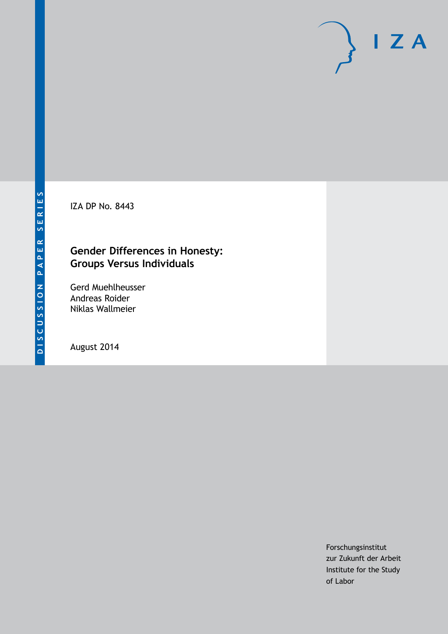IZA DP No. 8443

# **Gender Differences in Honesty: Groups Versus Individuals**

Gerd Muehlheusser Andreas Roider Niklas Wallmeier

August 2014

Forschungsinstitut zur Zukunft der Arbeit Institute for the Study of Labor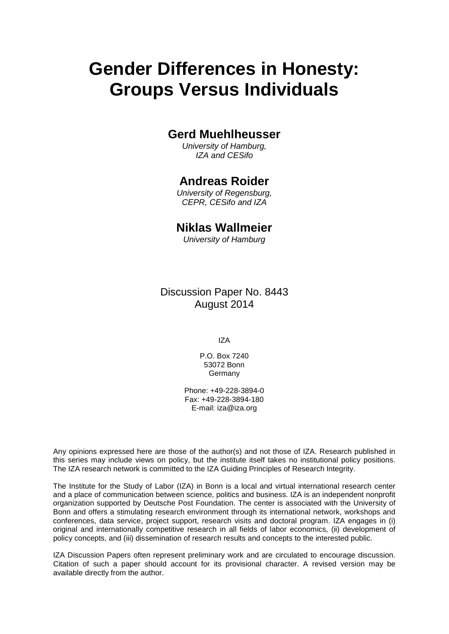# **Gender Differences in Honesty: Groups Versus Individuals**

# **Gerd Muehlheusser**

*University of Hamburg, IZA and CESifo*

# **Andreas Roider**

*University of Regensburg, CEPR, CESifo and IZA*

# **Niklas Wallmeier**

*University of Hamburg*

Discussion Paper No. 8443 August 2014

IZA

P.O. Box 7240 53072 Bonn Germany

Phone: +49-228-3894-0 Fax: +49-228-3894-180 E-mail: [iza@iza.org](mailto:iza@iza.org)

Any opinions expressed here are those of the author(s) and not those of IZA. Research published in this series may include views on policy, but the institute itself takes no institutional policy positions. The IZA research network is committed to the IZA Guiding Principles of Research Integrity.

The Institute for the Study of Labor (IZA) in Bonn is a local and virtual international research center and a place of communication between science, politics and business. IZA is an independent nonprofit organization supported by Deutsche Post Foundation. The center is associated with the University of Bonn and offers a stimulating research environment through its international network, workshops and conferences, data service, project support, research visits and doctoral program. IZA engages in (i) original and internationally competitive research in all fields of labor economics, (ii) development of policy concepts, and (iii) dissemination of research results and concepts to the interested public.

IZA Discussion Papers often represent preliminary work and are circulated to encourage discussion. Citation of such a paper should account for its provisional character. A revised version may be available directly from the author.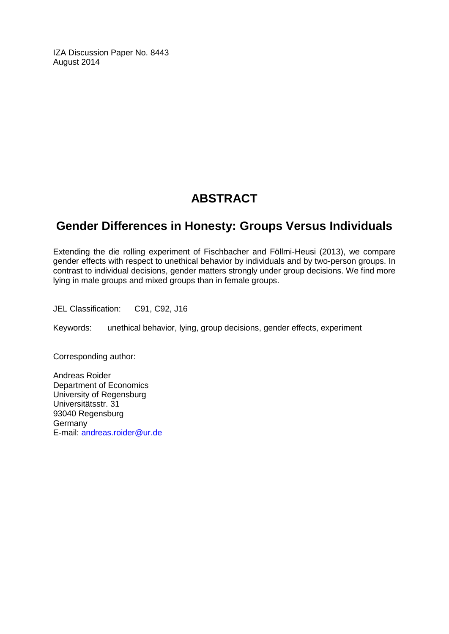IZA Discussion Paper No. 8443 August 2014

# **ABSTRACT**

# **Gender Differences in Honesty: Groups Versus Individuals**

Extending the die rolling experiment of Fischbacher and Föllmi-Heusi (2013), we compare gender effects with respect to unethical behavior by individuals and by two-person groups. In contrast to individual decisions, gender matters strongly under group decisions. We find more lying in male groups and mixed groups than in female groups.

JEL Classification: C91, C92, J16

Keywords: unethical behavior, lying, group decisions, gender effects, experiment

Corresponding author:

Andreas Roider Department of Economics University of Regensburg Universitätsstr. 31 93040 Regensburg **Germany** E-mail: [andreas.roider@ur.de](mailto:andreas.roider@ur.de)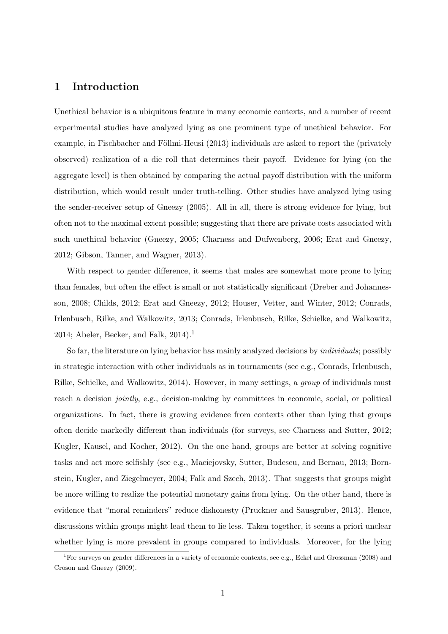# 1 Introduction

Unethical behavior is a ubiquitous feature in many economic contexts, and a number of recent experimental studies have analyzed lying as one prominent type of unethical behavior. For example, in Fischbacher and Föllmi-Heusi (2013) individuals are asked to report the (privately observed) realization of a die roll that determines their payoff. Evidence for lying (on the aggregate level) is then obtained by comparing the actual payoff distribution with the uniform distribution, which would result under truth-telling. Other studies have analyzed lying using the sender-receiver setup of Gneezy (2005). All in all, there is strong evidence for lying, but often not to the maximal extent possible; suggesting that there are private costs associated with such unethical behavior (Gneezy, 2005; Charness and Dufwenberg, 2006; Erat and Gneezy, 2012; Gibson, Tanner, and Wagner, 2013).

With respect to gender difference, it seems that males are somewhat more prone to lying than females, but often the effect is small or not statistically significant (Dreber and Johannesson, 2008; Childs, 2012; Erat and Gneezy, 2012; Houser, Vetter, and Winter, 2012; Conrads, Irlenbusch, Rilke, and Walkowitz, 2013; Conrads, Irlenbusch, Rilke, Schielke, and Walkowitz, 2014; Abeler, Becker, and Falk,  $2014$ ).<sup>1</sup>

So far, the literature on lying behavior has mainly analyzed decisions by individuals; possibly in strategic interaction with other individuals as in tournaments (see e.g., Conrads, Irlenbusch, Rilke, Schielke, and Walkowitz, 2014). However, in many settings, a group of individuals must reach a decision *jointly*, e.g., decision-making by committees in economic, social, or political organizations. In fact, there is growing evidence from contexts other than lying that groups often decide markedly different than individuals (for surveys, see Charness and Sutter, 2012; Kugler, Kausel, and Kocher, 2012). On the one hand, groups are better at solving cognitive tasks and act more selfishly (see e.g., Maciejovsky, Sutter, Budescu, and Bernau, 2013; Bornstein, Kugler, and Ziegelmeyer, 2004; Falk and Szech, 2013). That suggests that groups might be more willing to realize the potential monetary gains from lying. On the other hand, there is evidence that "moral reminders" reduce dishonesty (Pruckner and Sausgruber, 2013). Hence, discussions within groups might lead them to lie less. Taken together, it seems a priori unclear whether lying is more prevalent in groups compared to individuals. Moreover, for the lying

<sup>&</sup>lt;sup>1</sup>For surveys on gender differences in a variety of economic contexts, see e.g., Eckel and Grossman (2008) and Croson and Gneezy (2009).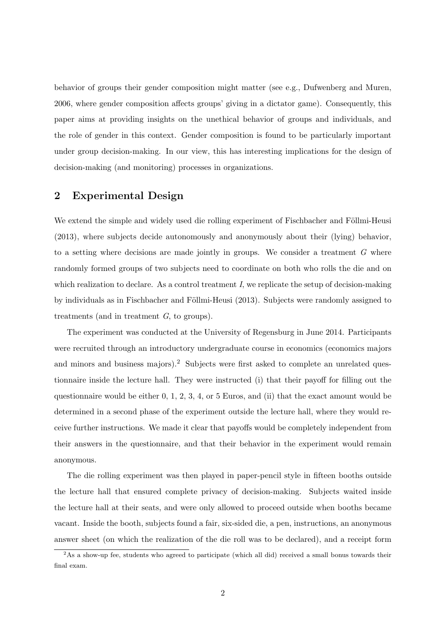behavior of groups their gender composition might matter (see e.g., Dufwenberg and Muren, 2006, where gender composition affects groups' giving in a dictator game). Consequently, this paper aims at providing insights on the unethical behavior of groups and individuals, and the role of gender in this context. Gender composition is found to be particularly important under group decision-making. In our view, this has interesting implications for the design of decision-making (and monitoring) processes in organizations.

# 2 Experimental Design

We extend the simple and widely used die rolling experiment of Fischbacher and Föllmi-Heusi (2013), where subjects decide autonomously and anonymously about their (lying) behavior, to a setting where decisions are made jointly in groups. We consider a treatment  $G$  where randomly formed groups of two subjects need to coordinate on both who rolls the die and on which realization to declare. As a control treatment  $I$ , we replicate the setup of decision-making by individuals as in Fischbacher and Föllmi-Heusi (2013). Subjects were randomly assigned to treatments (and in treatment G, to groups).

The experiment was conducted at the University of Regensburg in June 2014. Participants were recruited through an introductory undergraduate course in economics (economics majors and minors and business majors).<sup>2</sup> Subjects were first asked to complete an unrelated questionnaire inside the lecture hall. They were instructed (i) that their payoff for filling out the questionnaire would be either 0, 1, 2, 3, 4, or 5 Euros, and (ii) that the exact amount would be determined in a second phase of the experiment outside the lecture hall, where they would receive further instructions. We made it clear that payoffs would be completely independent from their answers in the questionnaire, and that their behavior in the experiment would remain anonymous.

The die rolling experiment was then played in paper-pencil style in fifteen booths outside the lecture hall that ensured complete privacy of decision-making. Subjects waited inside the lecture hall at their seats, and were only allowed to proceed outside when booths became vacant. Inside the booth, subjects found a fair, six-sided die, a pen, instructions, an anonymous answer sheet (on which the realization of the die roll was to be declared), and a receipt form

<sup>&</sup>lt;sup>2</sup>As a show-up fee, students who agreed to participate (which all did) received a small bonus towards their final exam.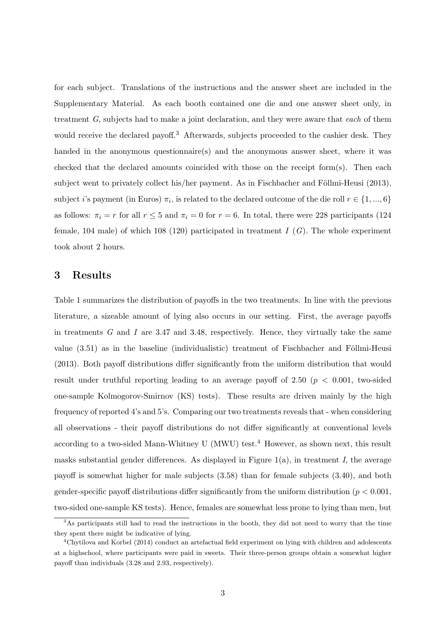for each subject. Translations of the instructions and the answer sheet are included in the Supplementary Material. As each booth contained one die and one answer sheet only, in treatment G, subjects had to make a joint declaration, and they were aware that each of them would receive the declared payoff.<sup>3</sup> Afterwards, subjects proceeded to the cashier desk. They handed in the anonymous questionnaire(s) and the anonymous answer sheet, where it was checked that the declared amounts coincided with those on the receipt form(s). Then each subject went to privately collect his/her payment. As in Fischbacher and Föllmi-Heusi  $(2013)$ , subject *i*'s payment (in Euros)  $\pi_i$ , is related to the declared outcome of the die roll  $r \in \{1, ..., 6\}$ as follows:  $\pi_i = r$  for all  $r \leq 5$  and  $\pi_i = 0$  for  $r = 6$ . In total, there were 228 participants (124) female, 104 male) of which 108 (120) participated in treatment  $I(G)$ . The whole experiment took about 2 hours.

#### 3 Results

Table 1 summarizes the distribution of payoffs in the two treatments. In line with the previous literature, a sizeable amount of lying also occurs in our setting. First, the average payoffs in treatments  $G$  and  $I$  are 3.47 and 3.48, respectively. Hence, they virtually take the same value  $(3.51)$  as in the baseline (individualistic) treatment of Fischbacher and Föllmi-Heusi (2013). Both payoff distributions differ significantly from the uniform distribution that would result under truthful reporting leading to an average payoff of 2.50 ( $p < 0.001$ , two-sided one-sample Kolmogorov-Smirnov (KS) tests). These results are driven mainly by the high frequency of reported 4's and 5's. Comparing our two treatments reveals that - when considering all observations - their payoff distributions do not differ significantly at conventional levels according to a two-sided Mann-Whitney U (MWU) test.<sup>4</sup> However, as shown next, this result masks substantial gender differences. As displayed in Figure 1(a), in treatment I, the average payoff is somewhat higher for male subjects (3.58) than for female subjects (3.40), and both gender-specific payoff distributions differ significantly from the uniform distribution ( $p < 0.001$ , two-sided one-sample KS tests). Hence, females are somewhat less prone to lying than men, but

<sup>3</sup>As participants still had to read the instructions in the booth, they did not need to worry that the time they spent there might be indicative of lying.

<sup>4</sup>Chytilova and Korbel (2014) conduct an artefactual field experiment on lying with children and adolescents at a highschool, where participants were paid in sweets. Their three-person groups obtain a somewhat higher payoff than individuals (3.28 and 2.93, respectively).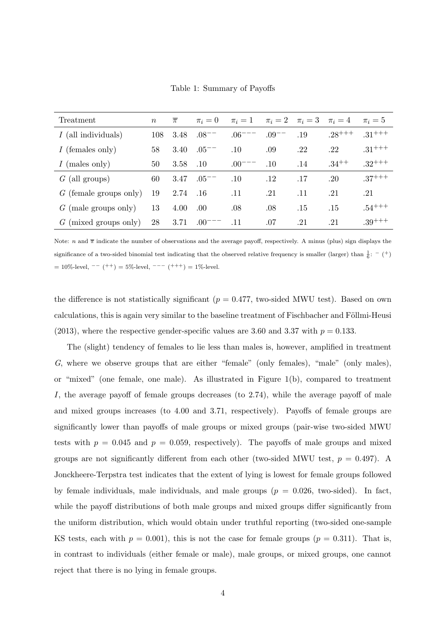|  |  | Table 1: Summary of Payoffs |  |  |
|--|--|-----------------------------|--|--|
|--|--|-----------------------------|--|--|

| Treatment                | $\, n$ | $\overline{\pi}$ | $\pi_i=0$     | $\pi_i=1$   |            | $\pi_i = 2$ $\pi_i = 3$ $\pi_i = 4$ |            | $\pi_i=5$   |
|--------------------------|--------|------------------|---------------|-------------|------------|-------------------------------------|------------|-------------|
| $I$ (all individuals)    | 108    | 3.48             | $.08^{--}$    | $.06^{-}$   | $.09^{--}$ | .19                                 | $28^{+++}$ | $.31^{+++}$ |
| $I$ (females only)       | 58     | 3.40             | $.05^{--}$    | $.10\,$     | .09        | .22                                 | .22        | $.31^{+++}$ |
| $I$ (males only)         | 50     | 3.58             | .10           | $.00^{---}$ | .10        | .14                                 | $.34^{++}$ | $.32^{+++}$ |
| $G$ (all groups)         | 60     | 3.47             | $.05^{--}$    | .10         | $.12\,$    | .17                                 | .20        | $.37^{+++}$ |
| $G$ (female groups only) | 19     | 2.74             | .16           | .11         | .21        | .11                                 | .21        | .21         |
| $G$ (male groups only)   | 13     | 4.00             | .00.          | .08         | .08        | .15                                 | .15        | $.54^{+++}$ |
| (mixed groups only)<br>G | 28     | 3.71             | $.00^{\circ}$ | .11         | .07        | .21                                 | .21        | $.39^{+++}$ |

Note: n and  $\bar{\pi}$  indicate the number of observations and the average payoff, respectively. A minus (plus) sign displays the significance of a two-sided binomial test indicating that the observed relative frequency is smaller (larger) than  $\frac{1}{6}$ : - (+)  $= 10\%$ -level,  $-(- +) = 5\%$ -level,  $- - (- + +) = 1\%$ -level.

the difference is not statistically significant ( $p = 0.477$ , two-sided MWU test). Based on own calculations, this is again very similar to the baseline treatment of Fischbacher and Föllmi-Heusi (2013), where the respective gender-specific values are 3.60 and 3.37 with  $p = 0.133$ .

The (slight) tendency of females to lie less than males is, however, amplified in treatment G, where we observe groups that are either "female" (only females), "male" (only males), or "mixed" (one female, one male). As illustrated in Figure 1(b), compared to treatment I, the average payoff of female groups decreases (to 2.74), while the average payoff of male and mixed groups increases (to 4.00 and 3.71, respectively). Payoffs of female groups are significantly lower than payoffs of male groups or mixed groups (pair-wise two-sided MWU tests with  $p = 0.045$  and  $p = 0.059$ , respectively). The payoffs of male groups and mixed groups are not significantly different from each other (two-sided MWU test,  $p = 0.497$ ). A Jonckheere-Terpstra test indicates that the extent of lying is lowest for female groups followed by female individuals, male individuals, and male groups  $(p = 0.026, \text{ two-sided})$ . In fact, while the payoff distributions of both male groups and mixed groups differ significantly from the uniform distribution, which would obtain under truthful reporting (two-sided one-sample KS tests, each with  $p = 0.001$ , this is not the case for female groups  $(p = 0.311)$ . That is, in contrast to individuals (either female or male), male groups, or mixed groups, one cannot reject that there is no lying in female groups.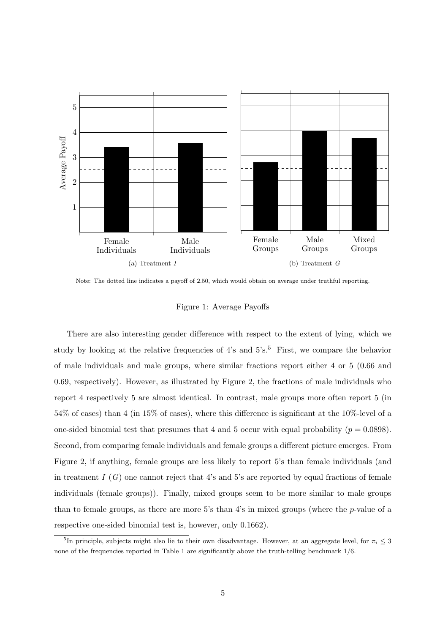

Note: The dotted line indicates a payoff of 2.50, which would obtain on average under truthful reporting.

#### Figure 1: Average Payoffs

There are also interesting gender difference with respect to the extent of lying, which we study by looking at the relative frequencies of  $4$ 's and  $5$ 's.<sup>5</sup> First, we compare the behavior of male individuals and male groups, where similar fractions report either 4 or 5 (0.66 and 0.69, respectively). However, as illustrated by Figure 2, the fractions of male individuals who report 4 respectively 5 are almost identical. In contrast, male groups more often report 5 (in 54% of cases) than 4 (in 15% of cases), where this difference is significant at the 10%-level of a one-sided binomial test that presumes that 4 and 5 occur with equal probability ( $p = 0.0898$ ). Second, from comparing female individuals and female groups a different picture emerges. From Figure 2, if anything, female groups are less likely to report 5's than female individuals (and in treatment  $I(G)$  one cannot reject that 4's and 5's are reported by equal fractions of female individuals (female groups)). Finally, mixed groups seem to be more similar to male groups than to female groups, as there are more 5's than 4's in mixed groups (where the p-value of a respective one-sided binomial test is, however, only 0.1662).

<sup>&</sup>lt;sup>5</sup>In principle, subjects might also lie to their own disadvantage. However, at an aggregate level, for  $\pi_i \leq 3$ none of the frequencies reported in Table 1 are significantly above the truth-telling benchmark 1/6.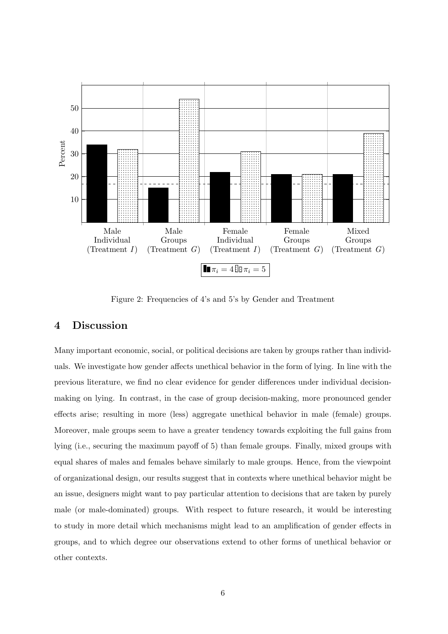

Figure 2: Frequencies of 4's and 5's by Gender and Treatment

### 4 Discussion

Many important economic, social, or political decisions are taken by groups rather than individuals. We investigate how gender affects unethical behavior in the form of lying. In line with the previous literature, we find no clear evidence for gender differences under individual decisionmaking on lying. In contrast, in the case of group decision-making, more pronounced gender effects arise; resulting in more (less) aggregate unethical behavior in male (female) groups. Moreover, male groups seem to have a greater tendency towards exploiting the full gains from lying (i.e., securing the maximum payoff of 5) than female groups. Finally, mixed groups with equal shares of males and females behave similarly to male groups. Hence, from the viewpoint of organizational design, our results suggest that in contexts where unethical behavior might be an issue, designers might want to pay particular attention to decisions that are taken by purely male (or male-dominated) groups. With respect to future research, it would be interesting to study in more detail which mechanisms might lead to an amplification of gender effects in groups, and to which degree our observations extend to other forms of unethical behavior or other contexts.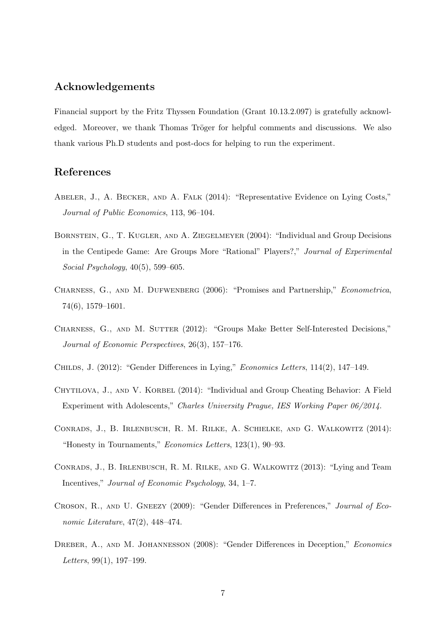# Acknowledgements

Financial support by the Fritz Thyssen Foundation (Grant 10.13.2.097) is gratefully acknowledged. Moreover, we thank Thomas Tröger for helpful comments and discussions. We also thank various Ph.D students and post-docs for helping to run the experiment.

### References

- Abeler, J., A. Becker, and A. Falk (2014): "Representative Evidence on Lying Costs," Journal of Public Economics, 113, 96–104.
- Bornstein, G., T. Kugler, and A. Ziegelmeyer (2004): "Individual and Group Decisions in the Centipede Game: Are Groups More "Rational" Players?," Journal of Experimental Social Psychology, 40(5), 599–605.
- CHARNESS, G., AND M. DUFWENBERG (2006): "Promises and Partnership," *Econometrica*, 74(6), 1579–1601.
- CHARNESS, G., AND M. SUTTER (2012): "Groups Make Better Self-Interested Decisions," Journal of Economic Perspectives, 26(3), 157–176.
- Childs, J. (2012): "Gender Differences in Lying," Economics Letters, 114(2), 147–149.
- CHYTILOVA, J., AND V. KORBEL (2014): "Individual and Group Cheating Behavior: A Field Experiment with Adolescents," Charles University Prague, IES Working Paper 06/2014.
- Conrads, J., B. Irlenbusch, R. M. Rilke, A. Schielke, and G. Walkowitz (2014): "Honesty in Tournaments," Economics Letters, 123(1), 90–93.
- Conrads, J., B. Irlenbusch, R. M. Rilke, and G. Walkowitz (2013): "Lying and Team Incentives," Journal of Economic Psychology, 34, 1–7.
- CROSON, R., AND U. GNEEZY (2009): "Gender Differences in Preferences," Journal of Economic Literature, 47(2), 448–474.
- DREBER, A., AND M. JOHANNESSON (2008): "Gender Differences in Deception," Economics Letters, 99(1), 197–199.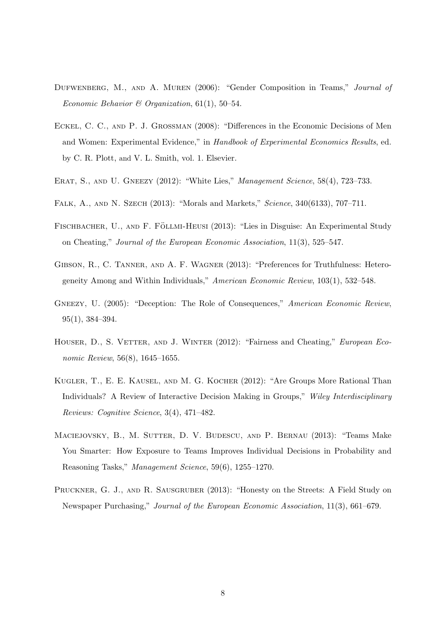- DUFWENBERG, M., AND A. MUREN (2006): "Gender Composition in Teams," Journal of Economic Behavior & Organization,  $61(1)$ ,  $50-54$ .
- Eckel, C. C., and P. J. Grossman (2008): "Differences in the Economic Decisions of Men and Women: Experimental Evidence," in Handbook of Experimental Economics Results, ed. by C. R. Plott, and V. L. Smith, vol. 1. Elsevier.
- ERAT, S., AND U. GNEEZY (2012): "White Lies," Management Science, 58(4), 723–733.
- Falk, A., and N. Szech (2013): "Morals and Markets," Science, 340(6133), 707–711.
- FISCHBACHER, U., AND F. FÖLLMI-HEUSI (2013): "Lies in Disguise: An Experimental Study on Cheating," Journal of the European Economic Association, 11(3), 525–547.
- Gibson, R., C. Tanner, and A. F. Wagner (2013): "Preferences for Truthfulness: Heterogeneity Among and Within Individuals," American Economic Review, 103(1), 532–548.
- GNEEZY, U. (2005): "Deception: The Role of Consequences," American Economic Review, 95(1), 384–394.
- HOUSER, D., S. VETTER, AND J. WINTER (2012): "Fairness and Cheating," European Economic Review, 56(8), 1645–1655.
- Kugler, T., E. E. Kausel, and M. G. Kocher (2012): "Are Groups More Rational Than Individuals? A Review of Interactive Decision Making in Groups," Wiley Interdisciplinary Reviews: Cognitive Science, 3(4), 471–482.
- Maciejovsky, B., M. Sutter, D. V. Budescu, and P. Bernau (2013): "Teams Make You Smarter: How Exposure to Teams Improves Individual Decisions in Probability and Reasoning Tasks," Management Science, 59(6), 1255–1270.
- PRUCKNER, G. J., AND R. SAUSGRUBER (2013): "Honesty on the Streets: A Field Study on Newspaper Purchasing," Journal of the European Economic Association, 11(3), 661–679.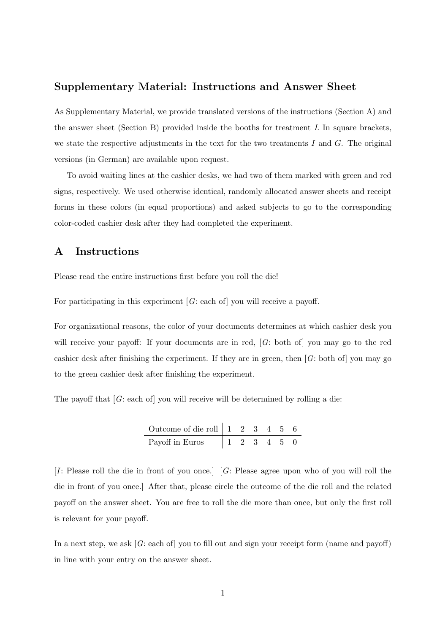#### Supplementary Material: Instructions and Answer Sheet

As Supplementary Material, we provide translated versions of the instructions (Section A) and the answer sheet (Section B) provided inside the booths for treatment I. In square brackets, we state the respective adjustments in the text for the two treatments  $I$  and  $G$ . The original versions (in German) are available upon request.

To avoid waiting lines at the cashier desks, we had two of them marked with green and red signs, respectively. We used otherwise identical, randomly allocated answer sheets and receipt forms in these colors (in equal proportions) and asked subjects to go to the corresponding color-coded cashier desk after they had completed the experiment.

# A Instructions

Please read the entire instructions first before you roll the die!

For participating in this experiment  $[G: \text{each of}]$  you will receive a payoff.

For organizational reasons, the color of your documents determines at which cashier desk you will receive your payoff: If your documents are in red, [G: both of] you may go to the red cashier desk after finishing the experiment. If they are in green, then  $[G:$  both of you may go to the green cashier desk after finishing the experiment.

The payoff that  $[G: each of]$  you will receive will be determined by rolling a die:

Outcome of die roll 1 2 3 4 5 6 Payoff in Euros 1 2 3 4 5 0

[I: Please roll the die in front of you once.] [G: Please agree upon who of you will roll the die in front of you once.] After that, please circle the outcome of the die roll and the related payoff on the answer sheet. You are free to roll the die more than once, but only the first roll is relevant for your payoff.

In a next step, we ask  $[G: \text{each of}]$  you to fill out and sign your receipt form (name and payoff) in line with your entry on the answer sheet.